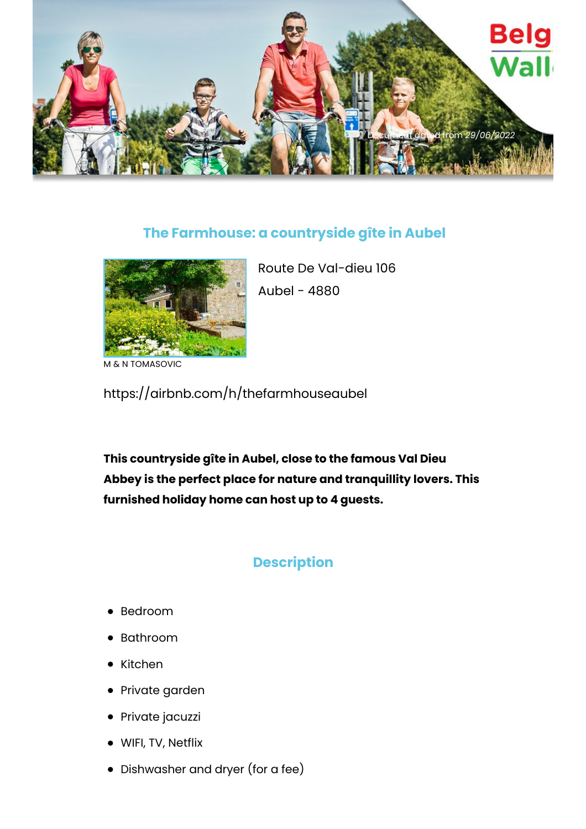

## **The Farmhouse: a countryside gîte in Aubel**



Route De Val-dieu 106 Aubel - 4880

N TOMASOVIC

https://airbnb.com/h/thefarmhouseaubel

**This countryside gîte in Aubel, close to the famous Val Dieu Abbey is the perfect place for nature and tranquillity lovers. This furnished holiday home can host up to 4 guests.**

## **Description**

- Bedroom
- Bathroom
- Kitchen
- Private garden
- Private jacuzzi
- WIFI, TV, Netflix
- Dishwasher and dryer (for a fee)